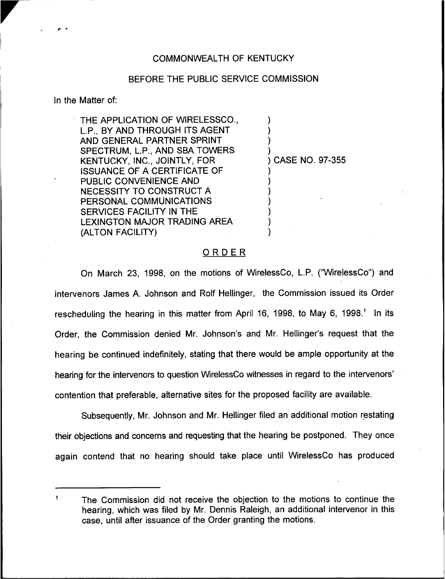## COMMONWEALTH OF KENTUCKY

## BEFORE THE PUBLIC SERVICE COMMISSION

In the Matter of:

 $\blacksquare$ 

THE APPLICATION OF WIRELESSCO., L.P., BY AND THROUGH ITS AGENT AND GENERAL PARTNER SPRINT SPECTRUM, L.P., AND SBA TOWERS KENTUCKY, INC., JOINTLY, FOR ISSUANCE OF A CERTIFICATE OF PUBLIC CONVENIENCE AND NECESSITY TO CONSTRUCT A PERSONAL COMMUNICATIONS SERVICES FACILITY IN THE LEXINGTON MAJOR TRADING AREA (ALTON FACILITY)

) CASE NO. 97-355

) ) ) )

) ) ) ) ) ) )

## ORDER

On March 23, 1998, on the motions of WirelessCo, L.P. ("WirelessCo") and intervenors James A. Johnson and Rolf Hellinger, the Commission issued its Order rescheduling the hearing in this matter from April 16, 1998, to May 6, 1998.<sup>1</sup> In its Order, the Commission denied Mr. Johnson's and Mr. Hellinger's request that the hearing be continued indefinitely, stating that there would be ample opportunity at the hearing for the intervenors to question WirelessCo witnesses in regard to the intervenors' contention that preferable, alternative sites for the proposed facility are available.

Subsequently, Mr. Johnson and Mr. Hellinger filed an additional motion restating their objections and concerns and requesting that the hearing be postponed. They once again contend that no hearing should take place until WirelessCo has produced

The Commission did not receive the objection to the motions to continue the hearing, which was filed by Mr. Dennis Raleigh, an additional intervenor in this case, until after issuance of the Order granting the motions.